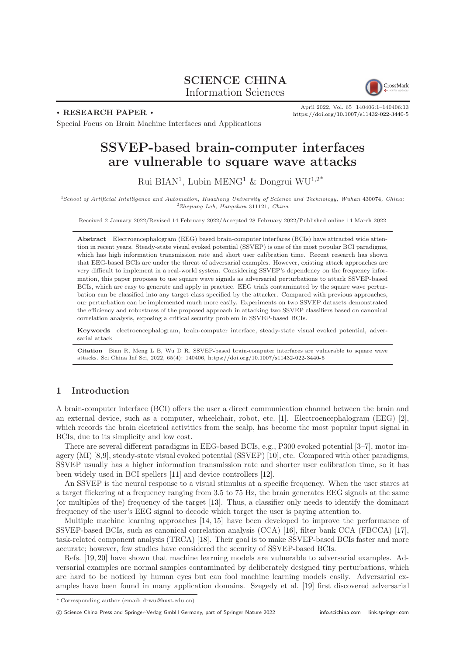# SCIENCE CHINA Information Sciences



. RESEARCH PAPER .

April 2022, Vol. 65 140406:1–140406[:13](#page-12-0) <https://doi.org/10.1007/s11432-022-3440-5>

Special Focus on Brain Machine Interfaces and Applications

# SSVEP-based brain-computer interfaces are vulnerable to square wave attacks

Rui BIAN<sup>1</sup>, Lubin MENG<sup>1</sup> & Dongrui WU<sup>1,2\*</sup>

<sup>1</sup>School of Artificial Intelligence and Automation, Huazhong University of Science and Technology, Wuhan 430074, China; <sup>2</sup>Zhejiang Lab, Hangzhou 311121, China

Received 2 January 2022/Revised 14 February 2022/Accepted 28 February 2022/Published online 14 March 2022

Abstract Electroencephalogram (EEG) based brain-computer interfaces (BCIs) have attracted wide attention in recent years. Steady-state visual evoked potential (SSVEP) is one of the most popular BCI paradigms, which has high information transmission rate and short user calibration time. Recent research has shown that EEG-based BCIs are under the threat of adversarial examples. However, existing attack approaches are very difficult to implement in a real-world system. Considering SSVEP's dependency on the frequency information, this paper proposes to use square wave signals as adversarial perturbations to attack SSVEP-based BCIs, which are easy to generate and apply in practice. EEG trials contaminated by the square wave perturbation can be classified into any target class specified by the attacker. Compared with previous approaches, our perturbation can be implemented much more easily. Experiments on two SSVEP datasets demonstrated the efficiency and robustness of the proposed approach in attacking two SSVEP classifiers based on canonical correlation analysis, exposing a critical security problem in SSVEP-based BCIs.

Keywords electroencephalogram, brain-computer interface, steady-state visual evoked potential, adversarial attack

Citation Bian R, Meng L B, Wu D R. SSVEP-based brain-computer interfaces are vulnerable to square wave attacks. Sci China Inf Sci, 2022, 65(4): 140406, <https://doi.org/10.1007/s11432-022-3440-5>

# 1 Introduction

A brain-computer interface (BCI) offers the user a direct communication channel between the brain and an external device, such as a computer, wheelchair, robot, etc. [\[1\]](#page-11-0). Electroencephalogram (EEG) [\[2\]](#page-11-1), which records the brain electrical activities from the scalp, has become the most popular input signal in BCIs, due to its simplicity and low cost.

There are several different paradigms in EEG-based BCIs, e.g., P300 evoked potential [\[3–](#page-11-2)[7\]](#page-11-3), motor imagery (MI) [\[8,](#page-11-4)[9\]](#page-11-5), steady-state visual evoked potential (SSVEP) [\[10\]](#page-11-6), etc. Compared with other paradigms, SSVEP usually has a higher information transmission rate and shorter user calibration time, so it has been widely used in BCI spellers [\[11\]](#page-11-7) and device controllers [\[12\]](#page-11-8).

An SSVEP is the neural response to a visual stimulus at a specific frequency. When the user stares at a target flickering at a frequency ranging from 3.5 to 75 Hz, the brain generates EEG signals at the same (or multiples of the) frequency of the target [\[13\]](#page-11-9). Thus, a classifier only needs to identify the dominant frequency of the user's EEG signal to decode which target the user is paying attention to.

Multiple machine learning approaches [\[14,](#page-11-10) [15\]](#page-11-11) have been developed to improve the performance of SSVEP-based BCIs, such as canonical correlation analysis (CCA) [\[16\]](#page-11-12), filter bank CCA (FBCCA) [\[17\]](#page-11-13), task-related component analysis (TRCA) [\[18\]](#page-11-14). Their goal is to make SSVEP-based BCIs faster and more accurate; however, few studies have considered the security of SSVEP-based BCIs.

Refs. [\[19,](#page-11-15) [20\]](#page-11-16) have shown that machine learning models are vulnerable to adversarial examples. Adversarial examples are normal samples contaminated by deliberately designed tiny perturbations, which are hard to be noticed by human eyes but can fool machine learning models easily. Adversarial examples have been found in many application domains. Szegedy et al. [\[19\]](#page-11-15) first discovered adversarial

<sup>\*</sup> Corresponding author (email: drwu@hust.edu.cn)

c Science China Press and Springer-Verlag GmbH Germany, part of Springer Nature 2022 <info.scichina.com><link.springer.com>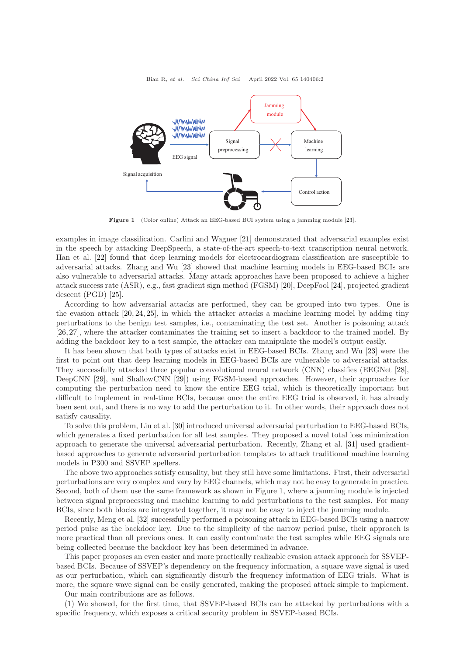<span id="page-1-0"></span>

Figure 1 (Color online) Attack an EEG-based BCI system using a jamming module [\[23\]](#page-11-17).

examples in image classification. Carlini and Wagner [\[21\]](#page-11-18) demonstrated that adversarial examples exist in the speech by attacking DeepSpeech, a state-of-the-art speech-to-text transcription neural network. Han et al. [\[22\]](#page-11-19) found that deep learning models for electrocardiogram classification are susceptible to adversarial attacks. Zhang and Wu [\[23\]](#page-11-17) showed that machine learning models in EEG-based BCIs are also vulnerable to adversarial attacks. Many attack approaches have been proposed to achieve a higher attack success rate (ASR), e.g., fast gradient sign method (FGSM) [\[20\]](#page-11-16), DeepFool [\[24\]](#page-11-20), projected gradient descent (PGD) [\[25\]](#page-11-21).

According to how adversarial attacks are performed, they can be grouped into two types. One is the evasion attack [\[20,](#page-11-16) [24,](#page-11-20) [25\]](#page-11-21), in which the attacker attacks a machine learning model by adding tiny perturbations to the benign test samples, i.e., contaminating the test set. Another is poisoning attack [\[26,](#page-11-22) [27\]](#page-11-23), where the attacker contaminates the training set to insert a backdoor to the trained model. By adding the backdoor key to a test sample, the attacker can manipulate the model's output easily.

It has been shown that both types of attacks exist in EEG-based BCIs. Zhang and Wu [\[23\]](#page-11-17) were the first to point out that deep learning models in EEG-based BCIs are vulnerable to adversarial attacks. They successfully attacked three popular convolutional neural network (CNN) classifies (EEGNet [\[28\]](#page-11-24), DeepCNN [\[29\]](#page-12-1), and ShallowCNN [\[29\]](#page-12-1)) using FGSM-based approaches. However, their approaches for computing the perturbation need to know the entire EEG trial, which is theoretically important but difficult to implement in real-time BCIs, because once the entire EEG trial is observed, it has already been sent out, and there is no way to add the perturbation to it. In other words, their approach does not satisfy causality.

To solve this problem, Liu et al. [\[30\]](#page-12-2) introduced universal adversarial perturbation to EEG-based BCIs, which generates a fixed perturbation for all test samples. They proposed a novel total loss minimization approach to generate the universal adversarial perturbation. Recently, Zhang et al. [\[31\]](#page-12-3) used gradientbased approaches to generate adversarial perturbation templates to attack traditional machine learning models in P300 and SSVEP spellers.

The above two approaches satisfy causality, but they still have some limitations. First, their adversarial perturbations are very complex and vary by EEG channels, which may not be easy to generate in practice. Second, both of them use the same framework as shown in Figure [1,](#page-1-0) where a jamming module is injected between signal preprocessing and machine learning to add perturbations to the test samples. For many BCIs, since both blocks are integrated together, it may not be easy to inject the jamming module.

Recently, Meng et al. [\[32\]](#page-12-4) successfully performed a poisoning attack in EEG-based BCIs using a narrow period pulse as the backdoor key. Due to the simplicity of the narrow period pulse, their approach is more practical than all previous ones. It can easily contaminate the test samples while EEG signals are being collected because the backdoor key has been determined in advance.

This paper proposes an even easier and more practically realizable evasion attack approach for SSVEPbased BCIs. Because of SSVEP's dependency on the frequency information, a square wave signal is used as our perturbation, which can significantly disturb the frequency information of EEG trials. What is more, the square wave signal can be easily generated, making the proposed attack simple to implement.

Our main contributions are as follows.

(1) We showed, for the first time, that SSVEP-based BCIs can be attacked by perturbations with a specific frequency, which exposes a critical security problem in SSVEP-based BCIs.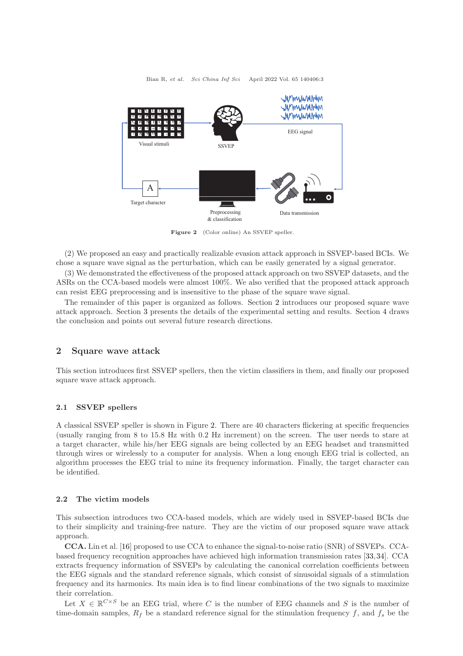<span id="page-2-1"></span>

Figure 2 (Color online) An SSVEP speller.

(2) We proposed an easy and practically realizable evasion attack approach in SSVEP-based BCIs. We chose a square wave signal as the perturbation, which can be easily generated by a signal generator.

(3) We demonstrated the effectiveness of the proposed attack approach on two SSVEP datasets, and the ASRs on the CCA-based models were almost 100%. We also verified that the proposed attack approach can resist EEG preprocessing and is insensitive to the phase of the square wave signal.

The remainder of this paper is organized as follows. Section [2](#page-2-0) introduces our proposed square wave attack approach. Section [3](#page-4-0) presents the details of the experimental setting and results. Section [4](#page-10-0) draws the conclusion and points out several future research directions.

# <span id="page-2-0"></span>2 Square wave attack

This section introduces first SSVEP spellers, then the victim classifiers in them, and finally our proposed square wave attack approach.

#### 2.1 SSVEP spellers

A classical SSVEP speller is shown in Figure [2.](#page-2-1) There are 40 characters flickering at specific frequencies (usually ranging from 8 to 15.8 Hz with 0.2 Hz increment) on the screen. The user needs to stare at a target character, while his/her EEG signals are being collected by an EEG headset and transmitted through wires or wirelessly to a computer for analysis. When a long enough EEG trial is collected, an algorithm processes the EEG trial to mine its frequency information. Finally, the target character can be identified.

#### 2.2 The victim models

This subsection introduces two CCA-based models, which are widely used in SSVEP-based BCIs due to their simplicity and training-free nature. They are the victim of our proposed square wave attack approach.

CCA. Lin et al. [\[16\]](#page-11-12) proposed to use CCA to enhance the signal-to-noise ratio (SNR) of SSVEPs. CCAbased frequency recognition approaches have achieved high information transmission rates [\[33,](#page-12-5)[34\]](#page-12-6). CCA extracts frequency information of SSVEPs by calculating the canonical correlation coefficients between the EEG signals and the standard reference signals, which consist of sinusoidal signals of a stimulation frequency and its harmonics. Its main idea is to find linear combinations of the two signals to maximize their correlation.

Let  $X \in \mathbb{R}^{C \times S}$  be an EEG trial, where C is the number of EEG channels and S is the number of time-domain samples,  $R_f$  be a standard reference signal for the stimulation frequency f, and  $f_s$  be the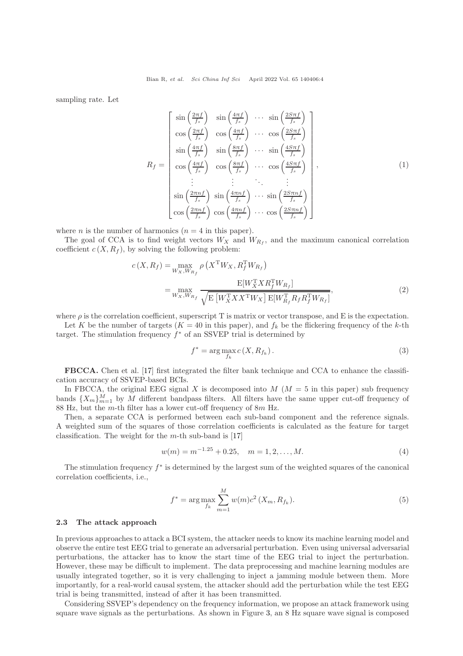sampling rate. Let

$$
R_{f} = \begin{bmatrix} \sin\left(\frac{2\pi f}{f_{s}}\right) & \sin\left(\frac{4\pi f}{f_{s}}\right) & \cdots & \sin\left(\frac{2S\pi f}{f_{s}}\right) \\ \cos\left(\frac{2\pi f}{f_{s}}\right) & \cos\left(\frac{4\pi f}{f_{s}}\right) & \cdots & \cos\left(\frac{2S\pi f}{f_{s}}\right) \\ \sin\left(\frac{4\pi f}{f_{s}}\right) & \sin\left(\frac{8\pi f}{f_{s}}\right) & \cdots & \sin\left(\frac{4S\pi f}{f_{s}}\right) \\ \cos\left(\frac{4\pi f}{f_{s}}\right) & \cos\left(\frac{8\pi f}{f_{s}}\right) & \cdots & \cos\left(\frac{4S\pi f}{f_{s}}\right) \\ \vdots & \vdots & \ddots & \vdots \\ \sin\left(\frac{2\pi n f}{f_{s}}\right) & \sin\left(\frac{4\pi n f}{f_{s}}\right) & \cdots & \sin\left(\frac{2S\pi n f}{f_{s}}\right) \\ \cos\left(\frac{2\pi n f}{f_{s}}\right) & \cos\left(\frac{4\pi n f}{f_{s}}\right) & \cdots & \cos\left(\frac{2S\pi n f}{f_{s}}\right) \end{bmatrix},
$$
\n(1)

where *n* is the number of harmonics  $(n = 4$  in this paper).

The goal of CCA is to find weight vectors  $W_X$  and  $W_{R_f}$ , and the maximum canonical correlation coefficient  $c(X, R_f)$ , by solving the following problem:

$$
c(X, R_f) = \max_{W_X, W_{R_f}} \rho\left(X^{\mathrm{T}} W_X, R_f^{\mathrm{T}} W_{R_f}\right)
$$
  
= 
$$
\max_{W_X, W_{R_f}} \frac{\mathbb{E}[W_X^{\mathrm{T}} X R_f^{\mathrm{T}} W_{R_f}]}{\sqrt{\mathbb{E}\left[W_X^{\mathrm{T}} X X^{\mathrm{T}} W_X\right] \mathbb{E}[W_{R_f}^{\mathrm{T}} R_f R_f^{\mathrm{T}} W_{R_f}]}},
$$
(2)

where  $\rho$  is the correlation coefficient, superscript T is matrix or vector transpose, and E is the expectation.

Let K be the number of targets ( $K = 40$  in this paper), and  $f_k$  be the flickering frequency of the k-th target. The stimulation frequency  $f^*$  of an SSVEP trial is determined by

$$
f^* = \arg\max_{f_k} c(X, R_{f_k}).
$$
\n(3)

FBCCA. Chen et al. [\[17\]](#page-11-13) first integrated the filter bank technique and CCA to enhance the classification accuracy of SSVEP-based BCIs.

In FBCCA, the original EEG signal X is decomposed into  $M$  ( $M = 5$  in this paper) sub frequency bands  $\{X_m\}_{m=1}^M$  by M different bandpass filters. All filters have the same upper cut-off frequency of 88 Hz, but the m-th filter has a lower cut-off frequency of 8m Hz.

Then, a separate CCA is performed between each sub-band component and the reference signals. A weighted sum of the squares of those correlation coefficients is calculated as the feature for target classification. The weight for the  $m$ -th sub-band is [\[17\]](#page-11-13)

$$
w(m) = m^{-1.25} + 0.25, \quad m = 1, 2, \dots, M.
$$
\n<sup>(4)</sup>

The stimulation frequency  $f^*$  is determined by the largest sum of the weighted squares of the canonical correlation coefficients, i.e.,

$$
f^* = \arg \max_{f_k} \sum_{m=1}^{M} w(m)c^2(X_m, R_{f_k}).
$$
\n(5)

#### 2.3 The attack approach

In previous approaches to attack a BCI system, the attacker needs to know its machine learning model and observe the entire test EEG trial to generate an adversarial perturbation. Even using universal adversarial perturbations, the attacker has to know the start time of the EEG trial to inject the perturbation. However, these may be difficult to implement. The data preprocessing and machine learning modules are usually integrated together, so it is very challenging to inject a jamming module between them. More importantly, for a real-world causal system, the attacker should add the perturbation while the test EEG trial is being transmitted, instead of after it has been transmitted.

Considering SSVEP's dependency on the frequency information, we propose an attack framework using square wave signals as the perturbations. As shown in Figure [3,](#page-4-1) an 8 Hz square wave signal is composed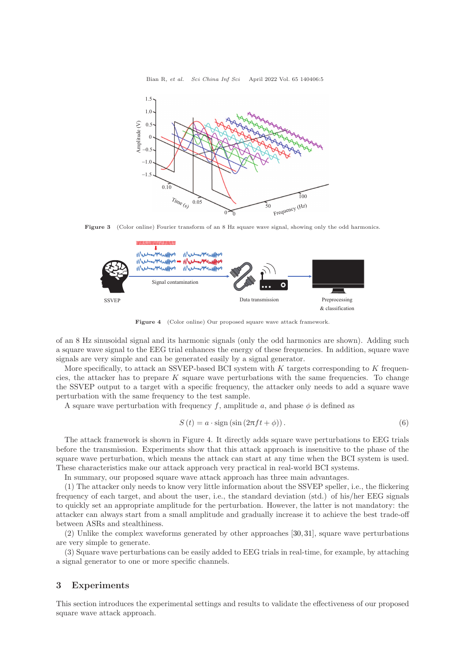<span id="page-4-1"></span>

<span id="page-4-2"></span>Figure 3 (Color online) Fourier transform of an 8 Hz square wave signal, showing only the odd harmonics.



Figure 4 (Color online) Our proposed square wave attack framework.

of an 8 Hz sinusoidal signal and its harmonic signals (only the odd harmonics are shown). Adding such a square wave signal to the EEG trial enhances the energy of these frequencies. In addition, square wave signals are very simple and can be generated easily by a signal generator.

More specifically, to attack an SSVEP-based BCI system with  $K$  targets corresponding to  $K$  frequencies, the attacker has to prepare  $K$  square wave perturbations with the same frequencies. To change the SSVEP output to a target with a specific frequency, the attacker only needs to add a square wave perturbation with the same frequency to the test sample.

A square wave perturbation with frequency f, amplitude a, and phase  $\phi$  is defined as

$$
S(t) = a \cdot \text{sign}(\sin(2\pi ft + \phi)). \tag{6}
$$

The attack framework is shown in Figure [4.](#page-4-2) It directly adds square wave perturbations to EEG trials before the transmission. Experiments show that this attack approach is insensitive to the phase of the square wave perturbation, which means the attack can start at any time when the BCI system is used. These characteristics make our attack approach very practical in real-world BCI systems.

In summary, our proposed square wave attack approach has three main advantages.

(1) The attacker only needs to know very little information about the SSVEP speller, i.e., the flickering frequency of each target, and about the user, i.e., the standard deviation (std.) of his/her EEG signals to quickly set an appropriate amplitude for the perturbation. However, the latter is not mandatory: the attacker can always start from a small amplitude and gradually increase it to achieve the best trade-off between ASRs and stealthiness.

(2) Unlike the complex waveforms generated by other approaches [\[30,](#page-12-2) [31\]](#page-12-3), square wave perturbations are very simple to generate.

(3) Square wave perturbations can be easily added to EEG trials in real-time, for example, by attaching a signal generator to one or more specific channels.

### <span id="page-4-0"></span>3 Experiments

This section introduces the experimental settings and results to validate the effectiveness of our proposed square wave attack approach.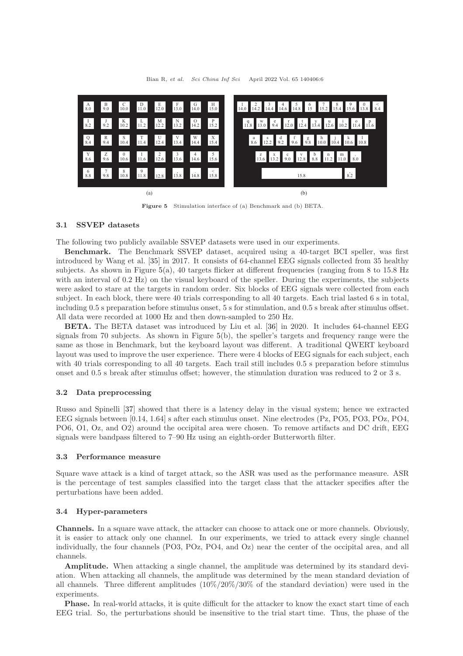<span id="page-5-0"></span>

Figure 5 Stimulation interface of (a) Benchmark and (b) BETA.

### <span id="page-5-1"></span>3.1 SSVEP datasets

The following two publicly available SSVEP datasets were used in our experiments.

Benchmark. The Benchmark SSVEP dataset, acquired using a 40-target BCI speller, was first introduced by Wang et al. [\[35\]](#page-12-7) in 2017. It consists of 64-channel EEG signals collected from 35 healthy subjects. As shown in Figure [5\(](#page-5-0)a), 40 targets flicker at different frequencies (ranging from 8 to 15.8 Hz with an interval of 0.2 Hz) on the visual keyboard of the speller. During the experiments, the subjects were asked to stare at the targets in random order. Six blocks of EEG signals were collected from each subject. In each block, there were 40 trials corresponding to all 40 targets. Each trial lasted 6 s in total, including 0.5 s preparation before stimulus onset, 5 s for stimulation, and 0.5 s break after stimulus offset. All data were recorded at 1000 Hz and then down-sampled to 250 Hz.

BETA. The BETA dataset was introduced by Liu et al. [\[36\]](#page-12-8) in 2020. It includes 64-channel EEG signals from 70 subjects. As shown in Figure [5\(](#page-5-0)b), the speller's targets and frequency range were the same as those in Benchmark, but the keyboard layout was different. A traditional QWERT keyboard layout was used to improve the user experience. There were 4 blocks of EEG signals for each subject, each with 40 trials corresponding to all 40 targets. Each trail still includes 0.5 s preparation before stimulus onset and 0.5 s break after stimulus offset; however, the stimulation duration was reduced to 2 or 3 s.

#### 3.2 Data preprocessing

Russo and Spinelli [\[37\]](#page-12-9) showed that there is a latency delay in the visual system; hence we extracted EEG signals between [0.14, 1.64] s after each stimulus onset. Nine electrodes (Pz, PO5, PO3, POz, PO4, PO6, O1, Oz, and O2) around the occipital area were chosen. To remove artifacts and DC drift, EEG signals were bandpass filtered to 7–90 Hz using an eighth-order Butterworth filter.

#### 3.3 Performance measure

Square wave attack is a kind of target attack, so the ASR was used as the performance measure. ASR is the percentage of test samples classified into the target class that the attacker specifies after the perturbations have been added.

#### 3.4 Hyper-parameters

Channels. In a square wave attack, the attacker can choose to attack one or more channels. Obviously, it is easier to attack only one channel. In our experiments, we tried to attack every single channel individually, the four channels (PO3, POz, PO4, and Oz) near the center of the occipital area, and all channels.

Amplitude. When attacking a single channel, the amplitude was determined by its standard deviation. When attacking all channels, the amplitude was determined by the mean standard deviation of all channels. Three different amplitudes (10%/20%/30% of the standard deviation) were used in the experiments.

Phase. In real-world attacks, it is quite difficult for the attacker to know the exact start time of each EEG trial. So, the perturbations should be insensitive to the trial start time. Thus, the phase of the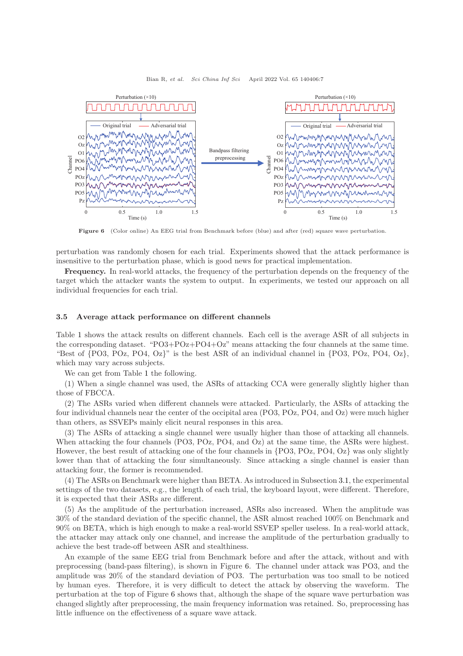<span id="page-6-0"></span>

Figure 6 (Color online) An EEG trial from Benchmark before (blue) and after (red) square wave perturbation.

perturbation was randomly chosen for each trial. Experiments showed that the attack performance is insensitive to the perturbation phase, which is good news for practical implementation.

Frequency. In real-world attacks, the frequency of the perturbation depends on the frequency of the target which the attacker wants the system to output. In experiments, we tested our approach on all individual frequencies for each trial.

### 3.5 Average attack performance on different channels

Table [1](#page-7-0) shows the attack results on different channels. Each cell is the average ASR of all subjects in the corresponding dataset. "PO3+POz+PO4+Oz" means attacking the four channels at the same time. "Best of  $\{PO3, POz, PO4, Oz\}$ " is the best ASR of an individual channel in  $\{PO3, POz, PO4, Oz\}$ , which may vary across subjects.

We can get from Table [1](#page-7-0) the following.

(1) When a single channel was used, the ASRs of attacking CCA were generally slightly higher than those of FBCCA.

(2) The ASRs varied when different channels were attacked. Particularly, the ASRs of attacking the four individual channels near the center of the occipital area (PO3, POz, PO4, and Oz) were much higher than others, as SSVEPs mainly elicit neural responses in this area.

(3) The ASRs of attacking a single channel were usually higher than those of attacking all channels. When attacking the four channels (PO3, PO2, PO4, and Oz) at the same time, the ASRs were highest. However, the best result of attacking one of the four channels in {PO3, POz, PO4, Oz} was only slightly lower than that of attacking the four simultaneously. Since attacking a single channel is easier than attacking four, the former is recommended.

(4) The ASRs on Benchmark were higher than BETA. As introduced in Subsection [3.1,](#page-5-1) the experimental settings of the two datasets, e.g., the length of each trial, the keyboard layout, were different. Therefore, it is expected that their ASRs are different.

(5) As the amplitude of the perturbation increased, ASRs also increased. When the amplitude was 30% of the standard deviation of the specific channel, the ASR almost reached 100% on Benchmark and 90% on BETA, which is high enough to make a real-world SSVEP speller useless. In a real-world attack, the attacker may attack only one channel, and increase the amplitude of the perturbation gradually to achieve the best trade-off between ASR and stealthiness.

An example of the same EEG trial from Benchmark before and after the attack, without and with preprocessing (band-pass filtering), is shown in Figure [6.](#page-6-0) The channel under attack was PO3, and the amplitude was 20% of the standard deviation of PO3. The perturbation was too small to be noticed by human eyes. Therefore, it is very difficult to detect the attack by observing the waveform. The perturbation at the top of Figure [6](#page-6-0) shows that, although the shape of the square wave perturbation was changed slightly after preprocessing, the main frequency information was retained. So, preprocessing has little influence on the effectiveness of a square wave attack.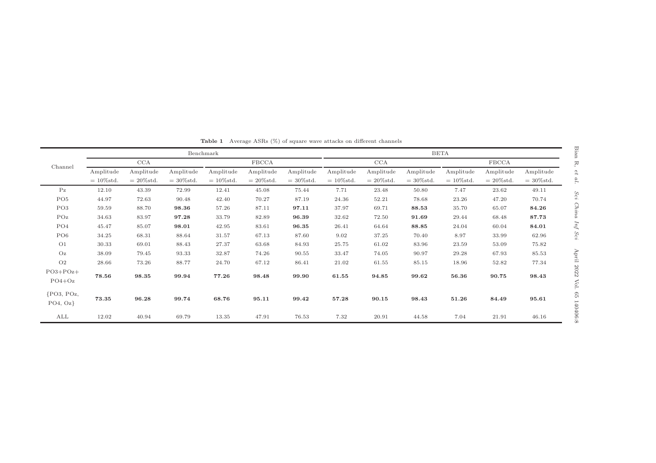<span id="page-7-0"></span>

|                         | Benchmark    |              |              |              |              |              | BETA         |              |              |              |              |              |  |
|-------------------------|--------------|--------------|--------------|--------------|--------------|--------------|--------------|--------------|--------------|--------------|--------------|--------------|--|
| Channel                 | CCA          |              |              | <b>FBCCA</b> |              |              | CCA          |              |              | <b>FBCCA</b> |              |              |  |
|                         | Amplitude    | Amplitude    | Amplitude    | Amplitude    | Amplitude    | Amplitude    | Amplitude    | Amplitude    | Amplitude    | Amplitude    | Amplitude    | Amplitude    |  |
|                         | $=10\%$ std. | $=20\%$ std. | $=30\%$ std. | $=10\%$ std. | $=20\%$ std. | $=30\%$ std. | $=10\%$ std. | $=20\%$ std. | $=30\%$ std. | $=10\%$ std. | $=20\%$ std. | $=30\%$ std. |  |
| Pz                      | 12.10        | 43.39        | 72.99        | 12.41        | 45.08        | 75.44        | 7.71         | 23.48        | 50.80        | 7.47         | 23.62        | 49.11        |  |
| PO <sub>5</sub>         | 44.97        | 72.63        | 90.48        | 42.40        | 70.27        | 87.19        | 24.36        | 52.21        | 78.68        | 23.26        | 47.20        | 70.74        |  |
| PO <sub>3</sub>         | 59.59        | 88.70        | 98.36        | 57.26        | 87.11        | 97.11        | 37.97        | 69.71        | 88.53        | 35.70        | 65.07        | 84.26        |  |
| POz                     | 34.63        | 83.97        | 97.28        | 33.79        | 82.89        | 96.39        | 32.62        | 72.50        | 91.69        | 29.44        | 68.48        | 87.73        |  |
| PO <sub>4</sub>         | 45.47        | 85.07        | 98.01        | 42.95        | 83.61        | 96.35        | 26.41        | 64.64        | 88.85        | 24.04        | 60.04        | 84.01        |  |
| PO <sub>6</sub>         | 34.25        | 68.31        | 88.64        | 31.57        | 67.13        | 87.60        | 9.02         | 37.25        | 70.40        | 8.97         | 33.99        | 62.96        |  |
| O <sub>1</sub>          | 30.33        | 69.01        | 88.43        | 27.37        | 63.68        | 84.93        | 25.75        | 61.02        | 83.96        | 23.59        | 53.09        | 75.82        |  |
| Oz                      | 38.09        | 79.45        | 93.33        | 32.87        | 74.26        | 90.55        | 33.47        | 74.05        | 90.97        | 29.28        | 67.93        | 85.53        |  |
| O <sub>2</sub>          | 28.66        | 73.26        | 88.77        | 24.70        | 67.12        | 86.41        | 21.02        | 61.55        | 85.15        | 18.96        | 52.82        | 77.34        |  |
| $PO3+POz+$              |              |              |              |              |              |              |              |              |              |              |              |              |  |
| $PO4+Oz$                | 78.56        | 98.35        | 99.94        | 77.26        | 98.48        | 99.90        | 61.55        | 94.85        | 99.62        | 56.36        | 90.75        | 98.43        |  |
| ${PO3, POz,$<br>PO4, Oz | 73.35        | 96.28        | 99.74        | 68.76        | 95.11        | 99.42        | 57.28        | 90.15        | 98.43        | 51.26        | 84.49        | 95.61        |  |
| $\mathop{\mathrm{ALL}}$ | 12.02        | 40.94        | 69.79        | 13.35        | 47.91        | 76.53        | 7.32         | 20.91        | 44.58        | 7.04         | 21.91        | 46.16        |  |

Table <sup>1</sup> Average ASRs (%) of square wave attacks on different channels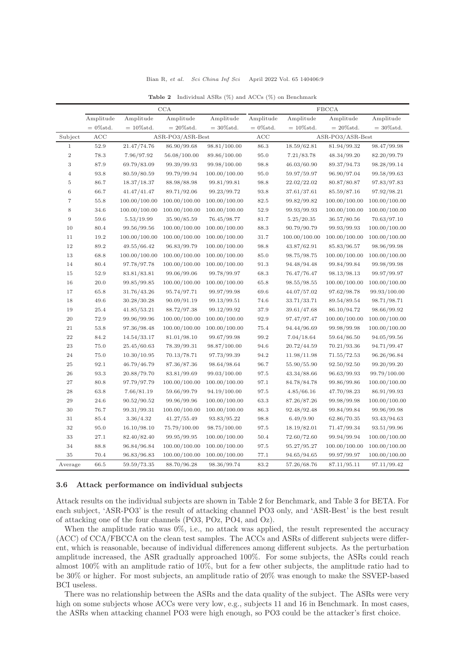| Bian R, et al.<br>April 2022 Vol. 65 140406:9<br>Sci China Inf Sci |  |  |  |  |  |  |  |  |  |  |  |  |  |
|--------------------------------------------------------------------|--|--|--|--|--|--|--|--|--|--|--|--|--|
|--------------------------------------------------------------------|--|--|--|--|--|--|--|--|--|--|--|--|--|

<span id="page-8-0"></span>

|                | CCA          |               |                  |               | <b>FBCCA</b> |               |                  |               |  |  |  |
|----------------|--------------|---------------|------------------|---------------|--------------|---------------|------------------|---------------|--|--|--|
|                | Amplitude    | Amplitude     | Amplitude        | Amplitude     | Amplitude    | Amplitude     | Amplitude        | Amplitude     |  |  |  |
|                | $= 0\%$ std. | $= 10\%$ std. | $=20\%$ std.     | $=30\%$ std.  | $= 0\%$ std. | $=10\%$ std.  | $=20\%$ std.     | $=30\%$ std.  |  |  |  |
| Subject        | ACC          |               | ASR-PO3/ASR-Best |               | ACC          |               | ASR-PO3/ASR-Best |               |  |  |  |
| $\mathbf{1}$   | 52.9         | 21.47/74.76   | 86.90/99.68      | 98.81/100.00  | 86.3         | 18.59/62.81   | 81.94/99.32      | 98.47/99.98   |  |  |  |
| $\sqrt{2}$     | 78.3         | 7.96/97.92    | 56.08/100.00     | 89.86/100.00  | 95.0         | 7.21/83.78    | 48.34/99.20      | 82.20/99.79   |  |  |  |
| 3              | 87.9         | 69.79/83.09   | 99.39/99.93      | 99.98/100.00  | 98.8         | 46.03/60.90   | 89.37/94.73      | 98.28/99.14   |  |  |  |
| $\overline{4}$ | 93.8         | 80.59/80.59   | 99.79/99.94      | 100.00/100.00 | 95.0         | 59.97/59.97   | 96.90/97.04      | 99.58/99.63   |  |  |  |
| 5              | 86.7         | 18.37/18.37   | 88.98/88.98      | 99.81/99.81   | 98.8         | 22.02/22.02   | 80.87/80.87      | 97.83/97.83   |  |  |  |
| $\,6$          | 66.7         | 41.47/41.47   | 89.71/92.06      | 99.23/99.72   | 93.8         | 37.61/37.61   | 85.59/87.16      | 97.92/98.21   |  |  |  |
| $\overline{7}$ | 55.8         | 100.00/100.00 | 100.00/100.00    | 100.00/100.00 | 82.5         | 99.82/99.82   | 100.00/100.00    | 100.00/100.00 |  |  |  |
| 8              | 34.6         | 100.00/100.00 | 100.00/100.00    | 100.00/100.00 | 52.9         | 99.93/99.93   | 100.00/100.00    | 100.00/100.00 |  |  |  |
| 9              | 59.6         | 5.53/19.99    | 35.90/85.59      | 76.45/98.77   | 81.7         | 5.25/20.35    | 36.57/80.56      | 70.63/97.10   |  |  |  |
| 10             | 80.4         | 99.56/99.56   | 100.00/100.00    | 100.00/100.00 | 88.3         | 90.79/90.79   | 99.93/99.93      | 100.00/100.00 |  |  |  |
| 11             | 19.2         | 100.00/100.00 | 100.00/100.00    | 100.00/100.00 | 31.7         | 100.00/100.00 | 100.00/100.00    | 100.00/100.00 |  |  |  |
| 12             | 89.2         | 49.55/66.42   | 96.83/99.79      | 100.00/100.00 | 98.8         | 43.87/62.91   | 85.83/96.57      | 98.96/99.98   |  |  |  |
| 13             | 68.8         | 100.00/100.00 | 100.00/100.00    | 100.00/100.00 | 85.0         | 98.75/98.75   | $100.00/100.00$  | 100.00/100.00 |  |  |  |
| 14             | 80.4         | 97.78/97.78   | 100.00/100.00    | 100.00/100.00 | 91.3         | 94.48/94.48   | 99.84/99.84      | 99.98/99.98   |  |  |  |
| 15             | 52.9         | 83.81/83.81   | 99.06/99.06      | 99.78/99.97   | 68.3         | 76.47/76.47   | 98.13/98.13      | 99.97/99.97   |  |  |  |
| 16             | 20.0         | 99.85/99.85   | 100.00/100.00    | 100.00/100.00 | 65.8         | 98.55/98.55   | 100.00/100.00    | 100.00/100.00 |  |  |  |
| 17             | 65.8         | 31.76/43.26   | 95.74/97.71      | 99.97/99.98   | 69.6         | 44.07/57.02   | 97.62/98.78      | 99.93/100.00  |  |  |  |
| 18             | 49.6         | 30.28/30.28   | 90.09/91.19      | 99.13/99.51   | 74.6         | 33.71/33.71   | 89.54/89.54      | 98.71/98.71   |  |  |  |
| 19             | 25.4         | 41.85/53.21   | 88.72/97.38      | 99.12/99.92   | 37.9         | 39.61/47.68   | 86.10/94.72      | 98.66/99.92   |  |  |  |
| $20\,$         | 72.9         | 99.96/99.96   | 100.00/100.00    | 100.00/100.00 | 92.9         | 97.47/97.47   | 100.00/100.00    | 100.00/100.00 |  |  |  |
| 21             | 53.8         | 97.36/98.48   | 100.00/100.00    | 100.00/100.00 | 75.4         | 94.44/96.69   | 99.98/99.98      | 100.00/100.00 |  |  |  |
| $\bf{22}$      | 84.2         | 14.54/33.17   | 81.01/98.10      | 99.67/99.98   | 99.2         | 7.04/18.64    | 59.64/86.50      | 94.05/99.56   |  |  |  |
| 23             | 75.0         | 25.45/60.63   | 78.39/99.31      | 98.87/100.00  | 94.6         | 20.72/44.59   | 70.21/93.36      | 94.71/99.47   |  |  |  |
| 24             | 75.0         | 10.30/10.95   | 70.13/78.71      | 97.73/99.39   | 94.2         | 11.98/11.98   | 71.55/72.53      | 96.26/96.84   |  |  |  |
| 25             | 92.1         | 46.79/46.79   | 87.36/87.36      | 98.64/98.64   | 96.7         | 55.90/55.90   | 92.50/92.50      | 99.20/99.20   |  |  |  |
| 26             | 93.3         | 20.88/79.70   | 83.81/99.69      | 99.03/100.00  | 97.5         | 43.34/88.66   | 96.63/99.93      | 99.79/100.00  |  |  |  |
| 27             | 80.8         | 97.79/97.79   | 100.00/100.00    | 100.00/100.00 | 97.1         | 84.78/84.78   | 99.86/99.86      | 100.00/100.00 |  |  |  |
| $\sqrt{28}$    | 63.8         | 7.66/81.19    | 59.66/99.79      | 94.19/100.00  | 97.5         | 4.85/66.16    | 47.70/98.23      | 86.91/99.93   |  |  |  |
| 29             | 24.6         | 90.52/90.52   | 99.96/99.96      | 100.00/100.00 | 63.3         | 87.26/87.26   | 99.98/99.98      | 100.00/100.00 |  |  |  |
| 30             | 76.7         | 99.31/99.31   | 100.00/100.00    | 100.00/100.00 | 86.3         | 92.48/92.48   | 99.84/99.84      | 99.96/99.98   |  |  |  |
| 31             | 85.4         | 3.36/4.32     | 41.27/55.49      | 93.83/95.22   | 98.8         | 6.49/9.90     | 62.86/70.35      | 93.43/94.63   |  |  |  |
| 32             | 95.0         | 16.10/98.10   | 75.79/100.00     | 98.75/100.00  | 97.5         | 18.19/82.01   | 71.47/99.34      | 93.51/99.96   |  |  |  |
| 33             | 27.1         | 82.40/82.40   | 99.95/99.95      | 100.00/100.00 | 50.4         | 72.60/72.60   | 99.94/99.94      | 100.00/100.00 |  |  |  |
| 34             | 88.8         | 96.84/96.84   | 100.00/100.00    | 100.00/100.00 | 97.5         | 95.27/95.27   | 100.00/100.00    | 100.00/100.00 |  |  |  |
| 35             | 70.4         | 96.83/96.83   | 100.00/100.00    | 100.00/100.00 | 77.1         | 94.65/94.65   | 99.97/99.97      | 100.00/100.00 |  |  |  |
| Average        | 66.5         | 59.59/73.35   | 88.70/96.28      | 98.36/99.74   | 83.2         | 57.26/68.76   | 87.11/95.11      | 97.11/99.42   |  |  |  |

Table 2 Individual ASRs (%) and ACCs (%) on Benchmark

#### 3.6 Attack performance on individual subjects

Attack results on the individual subjects are shown in Table [2](#page-8-0) for Benchmark, and Table [3](#page-9-0) for BETA. For each subject, 'ASR-PO3' is the result of attacking channel PO3 only, and 'ASR-Best' is the best result of attacking one of the four channels (PO3, POz, PO4, and Oz).

When the amplitude ratio was  $0\%$ , i.e., no attack was applied, the result represented the accuracy (ACC) of CCA/FBCCA on the clean test samples. The ACCs and ASRs of different subjects were different, which is reasonable, because of individual differences among different subjects. As the perturbation amplitude increased, the ASR gradually approached 100%. For some subjects, the ASRs could reach almost 100% with an amplitude ratio of 10%, but for a few other subjects, the amplitude ratio had to be 30% or higher. For most subjects, an amplitude ratio of 20% was enough to make the SSVEP-based BCI useless.

There was no relationship between the ASRs and the data quality of the subject. The ASRs were very high on some subjects whose ACCs were very low, e.g., subjects 11 and 16 in Benchmark. In most cases, the ASRs when attacking channel PO3 were high enough, so PO3 could be the attacker's first choice.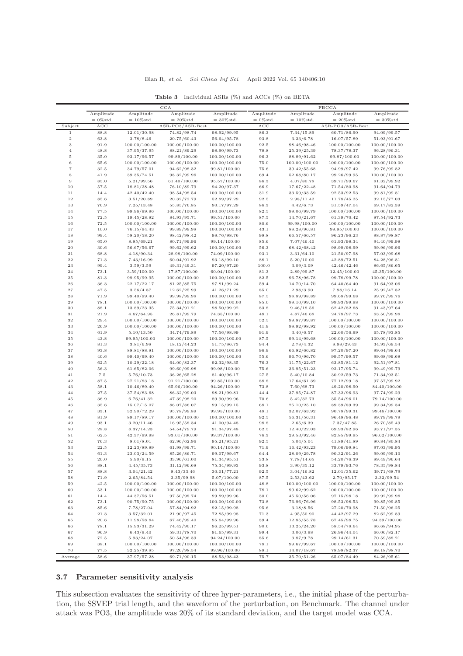<span id="page-9-0"></span>

|                          |              |                            | $_{\rm CCA}$                  |                               |              |                            | <b>FBCCA</b>                |                               |
|--------------------------|--------------|----------------------------|-------------------------------|-------------------------------|--------------|----------------------------|-----------------------------|-------------------------------|
|                          | Amplitude    | Amplitude                  | Amplitude                     | Amplitude                     | Amplitude    | Amplitude                  | Amplitude                   | Amplitude                     |
|                          | $=0\%$ std.  | $=10\%$ std.               | $=20\%$ std.                  | $=30\%$ std.                  | $=0\%$ std.  | $=10\%$ std.               | $=20\%$ std.                | $=30\%$ std.                  |
| Subject                  | ACC          |                            | ASR-PO3/ASR-Best              |                               | ACC          |                            | ASR-PO3/ASR-Best            |                               |
| $\,1\,$<br>$\,2$         | 88.8<br>63.8 | 12.01/30.98<br>3.78/8.46   | 74.82/98.74<br>20.75/60.43    | 98.92/99.95<br>56.64/95.78    | 86.3<br>93.8 | 7.34/15.89<br>3.23/6.78    | 60.71/86.90<br>16.07/57.89  | 94.09/99.57<br>51.93/91.67    |
| $\,3$                    | 91.9         | 100.00/100.00              | 100.00/100.00                 | 100.00/100.00                 | 92.5         | 98.46/98.46                | 100.00/100.00               | 100.00/100.00                 |
| $\sqrt{4}$               | 48.8         | 37.95/37.95                | 88.21/89.29                   | 98.90/99.73                   | 78.8         | 25.39/25.39                | 78.37/78.37                 | 96.28/96.31                   |
| $\,$ 5                   | 35.0         | 93.17/96.57                | 99.89/100.00                  | 100.00/100.00                 | 96.3         | 88.89/91.62                | 99.87/100.00                | 100.00/100.00                 |
| $\,$ 6                   | 65.6         | 100.00/100.00              | 100.00/100.00                 | 100.00/100.00                 | 75.0         | 100.00/100.00              | 100.00/100.00               | 100.00/100.00                 |
| $\scriptstyle{7}$        | 32.5         | 34.79/57.01                | 94.62/98.32                   | 99.81/100.00                  | 75.6         | 39.42/55.68                | 94.99/97.42                 | 99.76/99.82                   |
| $\,$ 8 $\,$              | 41.9         | 39.35/74.51                | 98.32/99.96                   | 100.00/100.00                 | 69.4         | 52.68/80.17                | 99.26/99.95                 | 100.00/100.00                 |
| $\,9$                    | 85.0         | 5.21/99.56                 | 61.40/100.00                  | 95.57/100.00                  | 86.3         | 4.07/80.78                 | 39.71/99.67                 | 81.32/99.92                   |
| $10\,$                   | 57.5         | 18.81/28.48                | 76.10/89.79                   | 94.20/97.37                   | 66.9         | 17.67/22.48                | 71.54/80.98                 | 91.64/94.79                   |
| $1\,1$                   | 14.4         | 42.40/42.40                | 98.54/98.54                   | 100.00/100.00                 | 31.9         | 33.59/33.59                | 92.53/92.53                 | 99.81/99.81                   |
| $1\,2$                   | 85.6         | 3.51/20.89                 | 20.32/72.79                   | 52.89/97.29                   | 92.5         | 2.98/11.42                 | 11.78/45.25                 | 32.15/77.03                   |
| 13                       | 76.9         | 7.25/13.48                 | 55.85/76.85                   | 90.17/97.29                   | 86.3         | 4.42/6.73                  | 31.59/47.04                 | 69.17/82.39                   |
| 14                       | 77.5         | 99.96/99.96                | 100.00/100.00                 | 100.00/100.00                 | 82.5         | 99.06/99.79                | 100.00/100.00               | 100.00/100.00                 |
| 15                       | 72.5         | 19.45/28.82                | 84.93/95.71                   | 99.51/100.00                  | 87.5         | 14.70/21.67                | 61.39/70.42                 | 87.54/92.73                   |
| 16                       | 72.5         | 100.00/100.00              | 100.00/100.00                 | 100.00/100.00                 | 80.6         | 99.98/100.00               | 100.00/100.00               | 100.00/100.00                 |
| $1\,7$                   | 10.0         | 76.15/94.43                | 99.89/99.98                   | 100.00/100.00                 | 43.1         | 88.28/96.81                | 99.95/100.00                | 100.00/100.00                 |
| 18                       | 99.4         | 58.20/58.20                | 98.42/98.42                   | 98.76/98.76                   | 98.8         | 66.57/66.57                | 96.23/96.23                 | 98.87/98.87                   |
| 19                       | 65.0         | 8.85/69.21                 | 80.71/99.96                   | 99.14/100.00                  | 85.6         | 7.07/46.40                 | 61.93/98.34                 | 94.40/99.98                   |
| 20                       | 30.6         | 56.67/56.67                | 99.62/99.62                   | 100.00/100.00                 | 56.3         | 68.42/68.42                | 98.99/98.99                 | 99.96/99.96                   |
| 21<br>22                 | 68.8         | 4.18/90.34                 | 28.98/100.00                  | 74.09/100.00                  | 93.1         | 3.31/64.10<br>5.20/10.00   | 21.50/97.98                 | 57.03/99.68                   |
|                          | 71.3         | 7.43/16.99                 | 60.04/91.92                   | 93.18/99.10                   | 88.1         |                            | 42.89/72.51                 | 84.28/96.81                   |
| $\bf 23$                 | 99.4         | 3.59/3.59                  | 49.31/49.31                   | 97.20/97.20                   | 100.0        | 3.09/3.09                  | 42.46/42.46                 | 86.65/86.65                   |
| $\bf{^{24}}$<br>$\bf 25$ | 73.1<br>81.3 | 3.59/100.00<br>99.95/99.95 | 17.87/100.00<br>100.00/100.00 | 60.04/100.00<br>100.00/100.00 | 81.3<br>82.5 | 2.89/99.87<br>96.78/96.78  | 12.45/100.00<br>99.78/99.78 | 45.35/100.00<br>100.00/100.00 |
| $\sqrt{26}$              | 36.3         | 22.17/22.17                | 81.25/85.75                   | 97.81/99.24                   | 59.4         | 14.70/14.70                | 64.40/64.40                 | 91.64/93.06                   |
| $^{\rm 27}$              | 47.5         | 3.56/4.87                  | 12.62/25.99                   | 41.26/71.29                   | 85.0         | 2.98/3.90                  | 7.98/16.14                  | 25.92/47.82                   |
| $\bf 28$                 | 71.9         | 99.40/99.40                | 99.98/99.98                   | 100.00/100.00                 | 87.5         | 98.89/98.89                | 99.68/99.68                 | 99.76/99.76                   |
| $\bf 29$                 | 78.1         | 100.00/100.00              | 100.00/100.00                 | 100.00/100.00                 | 85.0         | 99.10/99.10                | 99.93/99.98                 | 100.00/100.00                 |
| $30\,$                   | 88.1         | 13.89/23.35                | 75.34/91.21                   | 98.50/99.92                   | 83.8         | 9.46/18.56                 | 62.42/82.68                 | 91.43/97.64                   |
| 31                       | 21.9         | 4.67/64.95                 | 26.81/99.79                   | 74.35/100.00                  | 48.1         | 4.87/46.68                 | 24.78/97.73                 | 63.50/99.98                   |
| $^{\rm 32}$              | 29.4         | 100.00/100.00              | 100.00/100.00                 | 100.00/100.00                 | 52.5         | 99.87/99.87                | 100.00/100.00               | 100.00/100.00                 |
| $33\,$                   | 26.9         | 100.00/100.00              | 100.00/100.00                 | 100.00/100.00                 | 41.9         | 98.92/98.92                | 100.00/100.00               | 100.00/100.00                 |
| 34                       | 61.9         | 5.10/13.50                 | 34.74/79.89                   | 77.56/98.99                   | 91.9         | 3.40/6.57                  | 22.60/56.99                 | 65.78/93.85                   |
| $35\,$                   | 43.8         | 99.95/100.00               | 100.00/100.00                 | 100.00/100.00                 | 87.5         | 99.14/99.68                | 100.00/100.00               | 100.00/100.00                 |
| $36\,$                   | 81.3         | 3.81/6.98                  | 18.12/44.23                   | 51.75/86.73                   | 94.4         | 2.78/4.32                  | 8.98/29.43                  | 34.93/69.54                   |
| 37                       | 93.8         | 88.81/88.81                | 100.00/100.00                 | 100.00/100.00                 | 96.9         | 66.82/66.82                | 97.20/97.20                 | 99.64/99.64                   |
| $^{\rm 38}$              | 40.6         | 99.40/99.40                | 100.00/100.00                 | 100.00/100.00                 | 55.6         | 96.70/96.70                | 99.57/99.57                 | 99.68/99.68                   |
| 39                       | 62.5         | 10.29/22.18                | 64.00/82.37                   | 92.32/98.35                   | 76.3         | 11.75/22.67                | 63.85/81.12                 | 92.51/97.81                   |
| 40                       | 56.3         | 61.65/82.06                | 99.60/99.98                   | 99.98/100.00                  | 75.6         | 36.95/51.23                | 92.17/95.74                 | 99.49/99.79                   |
| 41                       | 7.5          | 5.76/10.73                 | 36.26/65.28                   | 81.40/96.17                   | 27.5         | 5.40/10.84                 | 30.92/59.73                 | 71.34/93.51                   |
| 42                       | 87.5         | 27.21/83.18                | 91.21/100.00                  | 99.85/100.00                  | 88.8         | 17.64/61.39                | 77.12/99.18                 | 97.57/99.92                   |
| 43                       | 58.1         | 10.46/89.40                | 65.96/100.00                  | 94.26/100.00                  | 73.8         | 7.60/68.73                 | 49.20/98.90                 | 84.40/100.00                  |
| $44\,$                   | 27.5         | 37.54/83.68                | 86.32/99.03                   | 98.21/99.81                   | 44.4         | 37.95/74.87                | 87.32/96.93                 | 97.74/99.29                   |
| $\rm 45$                 | 36.9         | 6.76/41.32                 | 47.39/98.20                   | 89.90/99.96                   | 70.6         | 5.42/32.73                 | 35.54/96.01                 | 79.14/100.00                  |
| $\sqrt{46}$              | 35.6         | 15.07/15.07                | 86.07/86.07                   | 99.15/99.15                   | 68.1         | 25.10/25.10                | 89.39/89.39                 | 99.34/99.34                   |
| $47\,$                   | 33.1         | 32.90/72.29                | 95.78/99.89                   | 99.95/100.00                  | 48.1         | 32.07/63.92                | 90.78/99.31                 | 99.46/100.00                  |
| 48                       | 81.9         | 89.17/89.17                | 100.00/100.00                 | 100.00/100.00                 | 92.5         | 56.31/56.31                | 96.48/96.48                 | 99.79/99.79                   |
| 49                       | 93.1         | 3.20/11.46                 | 16.95/58.34                   | 41.00/94.48                   | 98.8         | 2.65/6.39                  | 7.37/47.85                  | 26.70/85.49                   |
| $50\,$                   | 28.8         | 8.37/14.23                 | 54.54/79.79                   | 91.34/97.48                   | 62.5         | 12.40/22.03                | 69.93/82.96                 | 93.71/97.35                   |
| 51                       | 62.5         | 42.37/99.98                | 93.01/100.00                  | 99.37/100.00                  | 76.3         | 29.53/92.46                | 82.85/99.95                 | 96.62/100.00                  |
| $^{\rm 52}$              | 76.3         | 8.01/8.01                  | 62.96/62.96                   | 95.21/95.21                   | 92.5         | 5.04/5.04                  | 41.89/41.89                 | 80.84/80.84                   |
| 53                       | 22.5<br>61.3 | 12.23/89.89<br>23.03/24.59 | 61.98/99.71<br>85.26/86.71    | 90.14/100.00<br>99.07/99.67   | 71.9         | 16.42/93.23<br>28.09/29.78 | 79.06/99.84<br>90.32/91.26  | 97.03/99.95<br>99.09/99.10    |
| 54<br>${\bf 55}$         | 20.0         | 5.90/9.15                  | 33.96/61.00                   | 81.34/95.51                   | 64.4<br>33.8 | 7.78/14.65                 | 54.20/76.39                 | 89.49/96.64                   |
| 56                       | 88.1         | 4.45/35.73                 | 31.12/96.68                   | 75.34/99.93                   | 93.8         | 3.90/35.12                 | 33.79/93.76                 | 78.35/98.84                   |
| $57\,$                   | 88.8         | 3.04/21.42                 | 8.43/33.46                    | 30.01/77.21                   | 92.5         | 3.04/16.82                 | 12.01/35.62                 | 39.71/68.79                   |
| 58                       | 71.9         | 2.65/84.54                 | 3.35/99.98                    | 5.07/100.00                   | 87.5         | 2.53/43.62                 | 2.70/95.17                  | 3.32/99.54                    |
| 59                       | 42.5         | 100.00/100.00              | 100.00/100.00                 | 100.00/100.00                 | 48.8         | 100.00/100.00              | 100.00/100.00               | 100.00/100.00                 |
| 60                       | 53.1         | 100.00/100.00              | 100.00/100.00                 | 100.00/100.00                 | 78.1         | 99.62/99.62                | 100.00/100.00               | 100.00/100.00                 |
| 61                       | 14.4         | 44.37/56.51                | 97.50/98.74                   | 99.89/99.96                   | 30.0         | 45.50/56.06                | 97.15/98.18                 | 99.92/99.98                   |
| 62                       | 73.1         | 90.75/90.75                | 100.00/100.00                 | 100.00/100.00                 | 73.8         | 76.96/76.96                | 98.53/98.53                 | 99.85/99.85                   |
| 63                       | 85.6         | 7.78/27.04                 | 57.84/94.92                   | 92.15/99.98                   | $95.6\,$     | 3.18/8.56                  | 27.20/70.98                 | 71.50/96.25                   |
| 64                       | 21.3         | 3.57/32.01                 | 21.90/97.45                   | 72.85/99.98                   | 71.3         | 4.95/50.90                 | 44.42/97.29                 | 82.62/99.89                   |
| 65                       | 20.6         | 11.98/58.84                | 67.46/99.40                   | 95.64/99.96                   | 39.4         | 12.85/55.78                | 67.45/98.75                 | 94.39/100.00                  |
| 66                       | 78.1         | 15.93/31.29                | 74.42/90.17                   | 96.25/99.51                   | 90.6         | 13.25/24.20                | 58.54/78.64                 | 86.68/94.95                   |
| 67                       | 96.9         | 6.43/9.40                  | 59.31/78.70                   | 91.65/99.31                   | 99.4         | 3.06/3.98                  | 26.96/44.04                 | 66.06/82.17                   |
| 68                       | 72.5         | 5.93/24.07                 | 50.54/96.39                   | 94.24/100.00                  | 85.6         | 3.87/9.78                  | 29.14/61.31                 | 70.59/88.21                   |
| 69                       | 38.1         | 100.00/100.00              | 100.00/100.00                 | 100.00/100.00                 | 78.1         | 99.67/99.67                | 100.00/100.00               | 100.00/100.00                 |
| 70                       | 77.5         | 32.25/39.85                | 97.26/98.54                   | 99.96/100.00                  | 88.1         | 14.07/18.67                | 78.98/82.37                 | 98.18/98.70                   |
| Average                  | 58.6         | 37.97/57.28                | 69.71/90.15                   | 88.53/98.43                   | 75.7         | 35.70/51.26                | 65.07/84.49                 | 84.26/95.61                   |

|  | <b>Table 3</b> Individual ASRs (%) and ACCs (%) on BETA |  |  |  |  |  |  |  |
|--|---------------------------------------------------------|--|--|--|--|--|--|--|
|--|---------------------------------------------------------|--|--|--|--|--|--|--|

# 3.7 Parameter sensitivity analysis

This subsection evaluates the sensitivity of three hyper-parameters, i.e., the initial phase of the perturbation, the SSVEP trial length, and the waveform of the perturbation, on Benchmark. The channel under attack was PO3, the amplitude was 20% of its standard deviation, and the target model was CCA.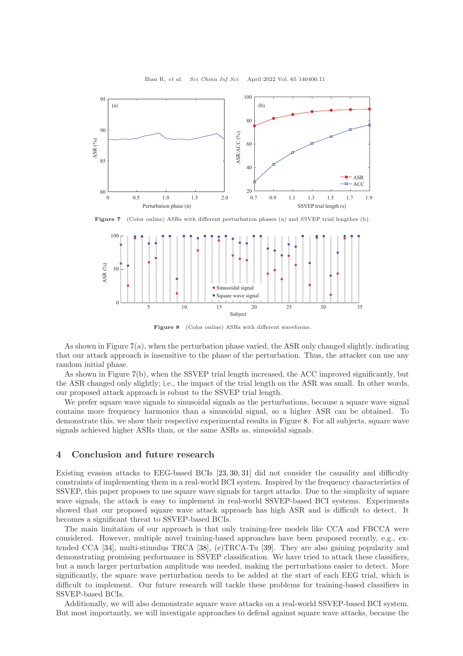<span id="page-10-1"></span>

Figure 7 (Color online) ASRs with different perturbation phases (a) and SSVEP trial lengthes (b).

<span id="page-10-2"></span>

Figure 8 (Color online) ASRs with different waveforms.

As shown in Figure [7\(](#page-10-1)a), when the perturbation phase varied, the ASR only changed slightly, indicating that our attack approach is insensitive to the phase of the perturbation. Thus, the attacker can use any random initial phase.

As shown in Figure [7\(](#page-10-1)b), when the SSVEP trial length increased, the ACC improved significantly, but the ASR changed only slightly; i.e., the impact of the trial length on the ASR was small. In other words, our proposed attack approach is robust to the SSVEP trial length.

We prefer square wave signals to sinusoidal signals as the perturbations, because a square wave signal contains more frequency harmonics than a sinusoidal signal, so a higher ASR can be obtained. To demonstrate this, we show their respective experimental results in Figure [8.](#page-10-2) For all subjects, square wave signals achieved higher ASRs than, or the same ASRs as, sinusoidal signals.

# <span id="page-10-0"></span>4 Conclusion and future research

Existing evasion attacks to EEG-based BCIs [\[23,](#page-11-17) [30,](#page-12-2) [31\]](#page-12-3) did not consider the causality and difficulty constraints of implementing them in a real-world BCI system. Inspired by the frequency characteristics of SSVEP, this paper proposes to use square wave signals for target attacks. Due to the simplicity of square wave signals, the attack is easy to implement in real-world SSVEP-based BCI systems. Experiments showed that our proposed square wave attack approach has high ASR and is difficult to detect. It becomes a significant threat to SSVEP-based BCIs.

The main limitation of our approach is that only training-free models like CCA and FBCCA were considered. However, multiple novel training-based approaches have been proposed recently, e.g., extended CCA [\[34\]](#page-12-6), multi-stimulus TRCA [\[38\]](#page-12-10), (e)TRCA-Tu [\[39\]](#page-12-11). They are also gaining popularity and demonstrating promising performance in SSVEP classification. We have tried to attack these classifiers, but a much larger perturbation amplitude was needed, making the perturbations easier to detect. More significantly, the square wave perturbation needs to be added at the start of each EEG trial, which is difficult to implement. Our future research will tackle these problems for training-based classifiers in SSVEP-based BCIs.

Additionally, we will also demonstrate square wave attacks on a real-world SSVEP-based BCI system. But most importantly, we will investigate approaches to defend against square wave attacks, because the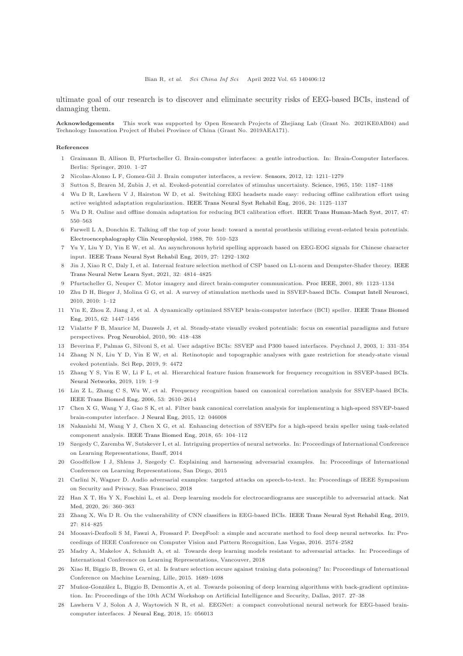ultimate goal of our research is to discover and eliminate security risks of EEG-based BCIs, instead of damaging them.

Acknowledgements This work was supported by Open Research Projects of Zhejiang Lab (Grant No. 2021KE0AB04) and Technology Innovation Project of Hubei Province of China (Grant No. 2019AEA171).

#### <span id="page-11-0"></span>References

- <span id="page-11-1"></span>1 Graimann B, Allison B, Pfurtscheller G. Brain-computer interfaces: a gentle introduction. In: Brain-Computer Interfaces. Berlin: Springer, 2010. 1–27
- <span id="page-11-2"></span>2 Nicolas-Alonso L F, Gomez-Gil J. Brain computer interfaces, a review. [Sensors,](https://doi.org/10.3390/s120201211) 2012, 12: 1211–1279
- 3 Sutton S, Braren M, Zubin J, et al. Evoked-potential correlates of stimulus uncertainty. [Science,](https://doi.org/10.1126/science.150.3700.1187) 1965, 150: 1187–1188
- 4 Wu D R, Lawhern V J, Hairston W D, et al. Switching EEG headsets made easy: reducing offline calibration effort using active weighted adaptation regularization. [IEEE Trans Neural Syst Rehabil Eng,](https://doi.org/10.1109/TNSRE.2016.2544108) 2016, 24: 1125–1137
- 5 Wu D R. Online and offline domain adaptation for reducing BCI calibration effort. [IEEE Trans Human-Mach Syst,](https://doi.org/10.1109/THMS.2016.2608931) 2017, 47: 550–563
- <span id="page-11-3"></span>6 Farwell L A, Donchin E. Talking off the top of your head: toward a mental prosthesis utilizing event-related brain potentials. [Electroencephalography Clin Neurophysiol,](https://doi.org/10.1016/0013-4694(88)90149-6) 1988, 70: 510–523
- <span id="page-11-4"></span>7 Yu Y, Liu Y D, Yin E W, et al. An asynchronous hybrid spelling approach based on EEG-EOG signals for Chinese character input. [IEEE Trans Neural Syst Rehabil Eng,](https://doi.org/10.1109/TNSRE.2019.2914916) 2019, 27: 1292–1302
- <span id="page-11-5"></span>8 Jin J, Xiao R C, Daly I, et al. Internal feature selection method of CSP based on L1-norm and Dempster-Shafer theory. IEEE Trans Neural Netw Learn Syst, 2021, 32: 4814–4825
- <span id="page-11-6"></span>9 Pfurtscheller G, Neuper C. Motor imagery and direct brain-computer communication. [Proc IEEE,](https://doi.org/10.1109/5.939829) 2001, 89: 1123–1134
- <span id="page-11-7"></span>10 Zhu D H, Bieger J, Molina G G, et al. A survey of stimulation methods used in SSVEP-based BCIs. [Comput Intell Neurosci,](https://doi.org/10.1155/2010/702357) 2010, 2010: 1–12
- <span id="page-11-8"></span>11 Yin E, Zhou Z, Jiang J, et al. A dynamically optimized SSVEP brain-computer interface (BCI) speller. IEEE Trans Biomed Eng, 2015, 62: 1447–1456
- <span id="page-11-9"></span>12 Vialatte F B, Maurice M, Dauwels J, et al. Steady-state visually evoked potentials: focus on essential paradigms and future perspectives. [Prog Neurobiol,](https://doi.org/10.1016/j.pneurobio.2009.11.005) 2010, 90: 418–438
- <span id="page-11-10"></span>13 Beverina F, Palmas G, Silvoni S, et al. User adaptive BCIs: SSVEP and P300 based interfaces. Psychnol J, 2003, 1: 331–354
- <span id="page-11-11"></span>14 Zhang N N, Liu Y D, Yin E W, et al. Retinotopic and topographic analyses with gaze restriction for steady-state visual evoked potentials. [Sci Rep,](https://doi.org/10.1038/s41598-019-41158-5) 2019, 9: 4472
- <span id="page-11-12"></span>15 Zhang Y S, Yin E W, Li F L, et al. Hierarchical feature fusion framework for frequency recognition in SSVEP-based BCIs. [Neural Networks,](https://doi.org/10.1016/j.neunet.2019.07.007) 2019, 119: 1–9
- <span id="page-11-13"></span>16 Lin Z L, Zhang C S, Wu W, et al. Frequency recognition based on canonical correlation analysis for SSVEP-based BCIs. [IEEE Trans Biomed Eng,](https://doi.org/10.1109/TBME.2006.886577) 2006, 53: 2610–2614
- <span id="page-11-14"></span>17 Chen X G, Wang Y J, Gao S K, et al. Filter bank canonical correlation analysis for implementing a high-speed SSVEP-based brain-computer interface. [J Neural Eng,](https://doi.org/10.1088/1741-2560/12/4/046008) 2015, 12: 046008
- <span id="page-11-15"></span>18 Nakanishi M, Wang Y J, Chen X G, et al. Enhancing detection of SSVEPs for a high-speed brain speller using task-related component analysis. [IEEE Trans Biomed Eng,](https://doi.org/10.1109/TBME.2017.2694818) 2018, 65: 104–112
- <span id="page-11-16"></span>19 Szegedy C, Zaremba W, Sutskever I, et al. Intriguing properties of neural networks. In: Proceedings of International Conference on Learning Representations, Banff, 2014
- <span id="page-11-18"></span>20 Goodfellow I J, Shlens J, Szegedy C. Explaining and harnessing adversarial examples. In: Proceedings of International Conference on Learning Representations, San Diego, 2015
- <span id="page-11-19"></span>21 Carlini N, Wagner D. Audio adversarial examples: targeted attacks on speech-to-text. In: Proceedings of IEEE Symposium on Security and Privacy, San Francisco, 2018
- <span id="page-11-17"></span>22 Han [X T, Hu Y X, Foschini L, et al. Deep learning models for electrocardiograms are susceptible to adversarial attack.](https://doi.org/10.1038/s41591-020-0791-x) Nat Med, 2020, 26: 360–363
- <span id="page-11-20"></span>23 Zhang X, Wu D R. On the vulnerability of CNN classifiers in EEG-based BCIs. [IEEE Trans Neural Syst Rehabil Eng,](https://doi.org/10.1109/TNSRE.2019.2908955) 2019, 27: 814–825
- 24 Moosavi-Dezfooli S M, Fawzi A, Frossard P. DeepFool: a simple and accurate method to fool deep neural networks. In: Proceedings of IEEE Conference on Computer Vision and Pattern Recognition, Las Vegas, 2016. 2574–2582
- <span id="page-11-21"></span>25 Madry A, Makelov A, Schmidt A, et al. Towards deep learning models resistant to adversarial attacks. In: Proceedings of International Conference on Learning Representations, Vancouver, 2018
- <span id="page-11-23"></span><span id="page-11-22"></span>26 Xiao H, Biggio B, Brown G, et al. Is feature selection secure against training data poisoning? In: Proceedings of International Conference on Machine Learning, Lille, 2015. 1689–1698
- <span id="page-11-24"></span>27 Muñoz-González L, Biggio B, Demontis A, et al. Towards poisoning of deep learning algorithms with back-gradient optimization. In: Proceedings of the 10th ACM Workshop on Artificial Intelligence and Security, Dallas, 2017. 27–38
- 28 Lawhern V J, Solon A J, Waytowich N R, et al. EEGNet: a compact convolutional neural network for EEG-based braincomputer interfaces. [J Neural Eng,](https://doi.org/10.1088/1741-2552/aace8c) 2018, 15: 056013